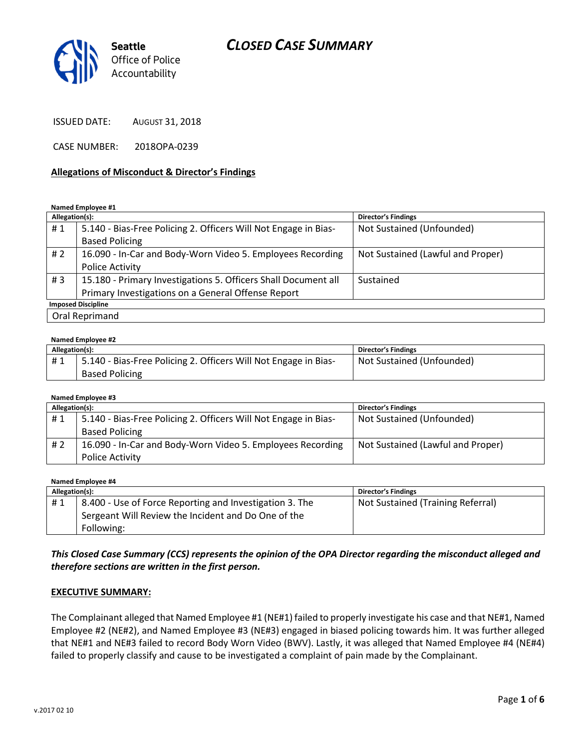# CLOSED CASE SUMMARY



ISSUED DATE: AUGUST 31, 2018

CASE NUMBER: 2018OPA-0239

#### Allegations of Misconduct & Director's Findings

#### Named Employee #1

| Allegation(s):            |                                                                 | <b>Director's Findings</b>        |  |  |
|---------------------------|-----------------------------------------------------------------|-----------------------------------|--|--|
| #1                        | 5.140 - Bias-Free Policing 2. Officers Will Not Engage in Bias- | Not Sustained (Unfounded)         |  |  |
|                           | <b>Based Policing</b>                                           |                                   |  |  |
| # $2$                     | 16.090 - In-Car and Body-Worn Video 5. Employees Recording      | Not Sustained (Lawful and Proper) |  |  |
|                           | <b>Police Activity</b>                                          |                                   |  |  |
| #3                        | 15.180 - Primary Investigations 5. Officers Shall Document all  | Sustained                         |  |  |
|                           | Primary Investigations on a General Offense Report              |                                   |  |  |
| <b>Imposed Discipline</b> |                                                                 |                                   |  |  |
|                           | Oral Reprimand                                                  |                                   |  |  |

#### Named Employee #2

| Allegation(s): |                                                                                          | <b>Director's Findings</b> |
|----------------|------------------------------------------------------------------------------------------|----------------------------|
| #1             | 5.140 - Bias-Free Policing 2. Officers Will Not Engage in Bias-<br><b>Based Policing</b> | Not Sustained (Unfounded)  |

#### Named Employee #3

| Allegation(s): |                                                                 | <b>Director's Findings</b>        |
|----------------|-----------------------------------------------------------------|-----------------------------------|
| #1             | 5.140 - Bias-Free Policing 2. Officers Will Not Engage in Bias- | Not Sustained (Unfounded)         |
|                | <b>Based Policing</b>                                           |                                   |
| # 2            | 16.090 - In-Car and Body-Worn Video 5. Employees Recording      | Not Sustained (Lawful and Proper) |
|                | Police Activity                                                 |                                   |

#### Named Employee #4

| Allegation(s): |                                                                                                                | <b>Director's Findings</b>        |
|----------------|----------------------------------------------------------------------------------------------------------------|-----------------------------------|
| #1             | 8.400 - Use of Force Reporting and Investigation 3. The<br>Sergeant Will Review the Incident and Do One of the | Not Sustained (Training Referral) |
|                | Following:                                                                                                     |                                   |

### This Closed Case Summary (CCS) represents the opinion of the OPA Director regarding the misconduct alleged and therefore sections are written in the first person.

#### EXECUTIVE SUMMARY:

The Complainant alleged that Named Employee #1 (NE#1) failed to properly investigate his case and that NE#1, Named Employee #2 (NE#2), and Named Employee #3 (NE#3) engaged in biased policing towards him. It was further alleged that NE#1 and NE#3 failed to record Body Worn Video (BWV). Lastly, it was alleged that Named Employee #4 (NE#4) failed to properly classify and cause to be investigated a complaint of pain made by the Complainant.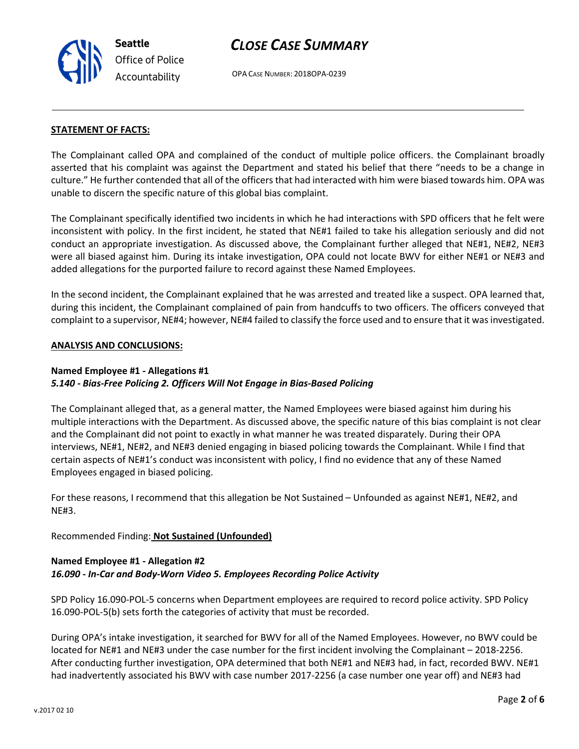# CLOSE CASE SUMMARY

OPA CASE NUMBER: 2018OPA-0239

#### STATEMENT OF FACTS:

The Complainant called OPA and complained of the conduct of multiple police officers. the Complainant broadly asserted that his complaint was against the Department and stated his belief that there "needs to be a change in culture." He further contended that all of the officers that had interacted with him were biased towards him. OPA was unable to discern the specific nature of this global bias complaint.

The Complainant specifically identified two incidents in which he had interactions with SPD officers that he felt were inconsistent with policy. In the first incident, he stated that NE#1 failed to take his allegation seriously and did not conduct an appropriate investigation. As discussed above, the Complainant further alleged that NE#1, NE#2, NE#3 were all biased against him. During its intake investigation, OPA could not locate BWV for either NE#1 or NE#3 and added allegations for the purported failure to record against these Named Employees.

In the second incident, the Complainant explained that he was arrested and treated like a suspect. OPA learned that, during this incident, the Complainant complained of pain from handcuffs to two officers. The officers conveyed that complaint to a supervisor, NE#4; however, NE#4 failed to classify the force used and to ensure that it was investigated.

#### ANALYSIS AND CONCLUSIONS:

#### Named Employee #1 - Allegations #1 5.140 - Bias-Free Policing 2. Officers Will Not Engage in Bias-Based Policing

The Complainant alleged that, as a general matter, the Named Employees were biased against him during his multiple interactions with the Department. As discussed above, the specific nature of this bias complaint is not clear and the Complainant did not point to exactly in what manner he was treated disparately. During their OPA interviews, NE#1, NE#2, and NE#3 denied engaging in biased policing towards the Complainant. While I find that certain aspects of NE#1's conduct was inconsistent with policy, I find no evidence that any of these Named Employees engaged in biased policing.

For these reasons, I recommend that this allegation be Not Sustained – Unfounded as against NE#1, NE#2, and NE#3.

### Recommended Finding: Not Sustained (Unfounded)

#### Named Employee #1 - Allegation #2 16.090 - In-Car and Body-Worn Video 5. Employees Recording Police Activity

SPD Policy 16.090-POL-5 concerns when Department employees are required to record police activity. SPD Policy 16.090-POL-5(b) sets forth the categories of activity that must be recorded.

During OPA's intake investigation, it searched for BWV for all of the Named Employees. However, no BWV could be located for NE#1 and NE#3 under the case number for the first incident involving the Complainant – 2018-2256. After conducting further investigation, OPA determined that both NE#1 and NE#3 had, in fact, recorded BWV. NE#1 had inadvertently associated his BWV with case number 2017-2256 (a case number one year off) and NE#3 had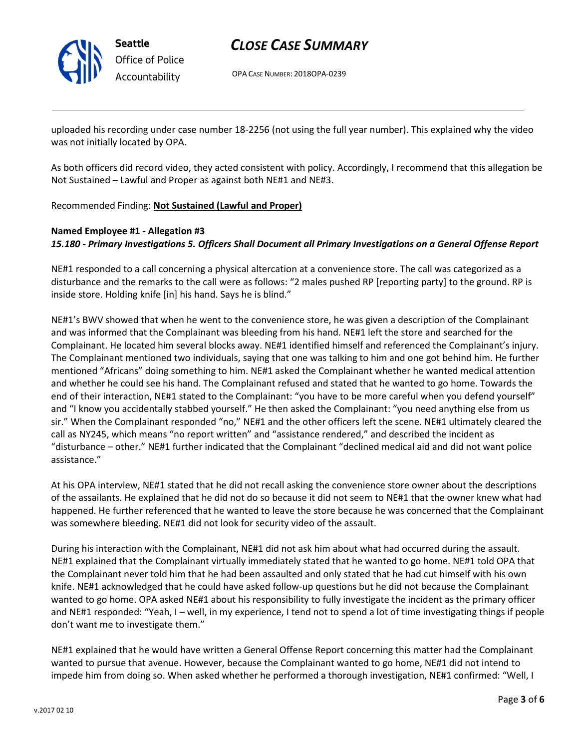

Seattle Office of Police Accountability

# CLOSE CASE SUMMARY

OPA CASE NUMBER: 2018OPA-0239

uploaded his recording under case number 18-2256 (not using the full year number). This explained why the video was not initially located by OPA.

As both officers did record video, they acted consistent with policy. Accordingly, I recommend that this allegation be Not Sustained – Lawful and Proper as against both NE#1 and NE#3.

Recommended Finding: Not Sustained (Lawful and Proper)

### Named Employee #1 - Allegation #3 15.180 - Primary Investigations 5. Officers Shall Document all Primary Investigations on a General Offense Report

NE#1 responded to a call concerning a physical altercation at a convenience store. The call was categorized as a disturbance and the remarks to the call were as follows: "2 males pushed RP [reporting party] to the ground. RP is inside store. Holding knife [in] his hand. Says he is blind."

NE#1's BWV showed that when he went to the convenience store, he was given a description of the Complainant and was informed that the Complainant was bleeding from his hand. NE#1 left the store and searched for the Complainant. He located him several blocks away. NE#1 identified himself and referenced the Complainant's injury. The Complainant mentioned two individuals, saying that one was talking to him and one got behind him. He further mentioned "Africans" doing something to him. NE#1 asked the Complainant whether he wanted medical attention and whether he could see his hand. The Complainant refused and stated that he wanted to go home. Towards the end of their interaction, NE#1 stated to the Complainant: "you have to be more careful when you defend yourself" and "I know you accidentally stabbed yourself." He then asked the Complainant: "you need anything else from us sir." When the Complainant responded "no," NE#1 and the other officers left the scene. NE#1 ultimately cleared the call as NY245, which means "no report written" and "assistance rendered," and described the incident as "disturbance – other." NE#1 further indicated that the Complainant "declined medical aid and did not want police assistance."

At his OPA interview, NE#1 stated that he did not recall asking the convenience store owner about the descriptions of the assailants. He explained that he did not do so because it did not seem to NE#1 that the owner knew what had happened. He further referenced that he wanted to leave the store because he was concerned that the Complainant was somewhere bleeding. NE#1 did not look for security video of the assault.

During his interaction with the Complainant, NE#1 did not ask him about what had occurred during the assault. NE#1 explained that the Complainant virtually immediately stated that he wanted to go home. NE#1 told OPA that the Complainant never told him that he had been assaulted and only stated that he had cut himself with his own knife. NE#1 acknowledged that he could have asked follow-up questions but he did not because the Complainant wanted to go home. OPA asked NE#1 about his responsibility to fully investigate the incident as the primary officer and NE#1 responded: "Yeah, I – well, in my experience, I tend not to spend a lot of time investigating things if people don't want me to investigate them."

NE#1 explained that he would have written a General Offense Report concerning this matter had the Complainant wanted to pursue that avenue. However, because the Complainant wanted to go home, NE#1 did not intend to impede him from doing so. When asked whether he performed a thorough investigation, NE#1 confirmed: "Well, I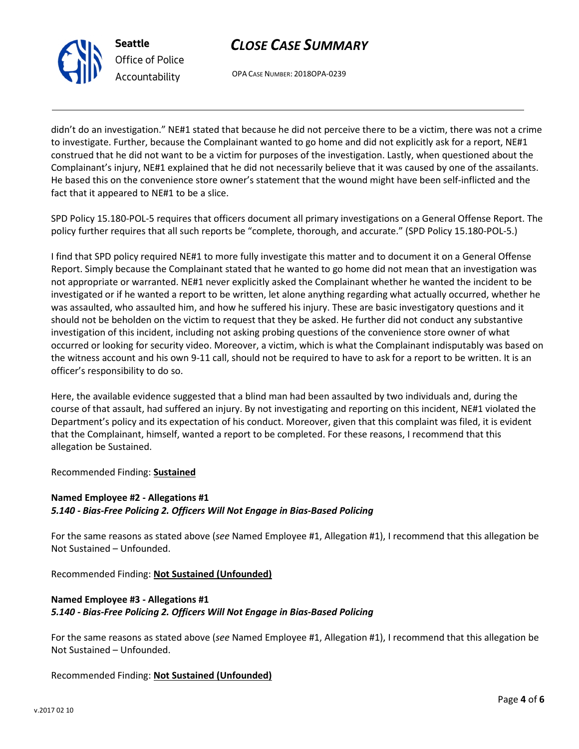

OPA CASE NUMBER: 2018OPA-0239

didn't do an investigation." NE#1 stated that because he did not perceive there to be a victim, there was not a crime to investigate. Further, because the Complainant wanted to go home and did not explicitly ask for a report, NE#1 construed that he did not want to be a victim for purposes of the investigation. Lastly, when questioned about the Complainant's injury, NE#1 explained that he did not necessarily believe that it was caused by one of the assailants. He based this on the convenience store owner's statement that the wound might have been self-inflicted and the fact that it appeared to NE#1 to be a slice.

SPD Policy 15.180-POL-5 requires that officers document all primary investigations on a General Offense Report. The policy further requires that all such reports be "complete, thorough, and accurate." (SPD Policy 15.180-POL-5.)

I find that SPD policy required NE#1 to more fully investigate this matter and to document it on a General Offense Report. Simply because the Complainant stated that he wanted to go home did not mean that an investigation was not appropriate or warranted. NE#1 never explicitly asked the Complainant whether he wanted the incident to be investigated or if he wanted a report to be written, let alone anything regarding what actually occurred, whether he was assaulted, who assaulted him, and how he suffered his injury. These are basic investigatory questions and it should not be beholden on the victim to request that they be asked. He further did not conduct any substantive investigation of this incident, including not asking probing questions of the convenience store owner of what occurred or looking for security video. Moreover, a victim, which is what the Complainant indisputably was based on the witness account and his own 9-11 call, should not be required to have to ask for a report to be written. It is an officer's responsibility to do so.

Here, the available evidence suggested that a blind man had been assaulted by two individuals and, during the course of that assault, had suffered an injury. By not investigating and reporting on this incident, NE#1 violated the Department's policy and its expectation of his conduct. Moreover, given that this complaint was filed, it is evident that the Complainant, himself, wanted a report to be completed. For these reasons, I recommend that this allegation be Sustained.

Recommended Finding: Sustained

Seattle

Office of Police Accountability

#### Named Employee #2 - Allegations #1 5.140 - Bias-Free Policing 2. Officers Will Not Engage in Bias-Based Policing

For the same reasons as stated above (see Named Employee #1, Allegation #1), I recommend that this allegation be Not Sustained – Unfounded.

Recommended Finding: Not Sustained (Unfounded)

## Named Employee #3 - Allegations #1 5.140 - Bias-Free Policing 2. Officers Will Not Engage in Bias-Based Policing

For the same reasons as stated above (see Named Employee #1, Allegation #1), I recommend that this allegation be Not Sustained – Unfounded.

Recommended Finding: Not Sustained (Unfounded)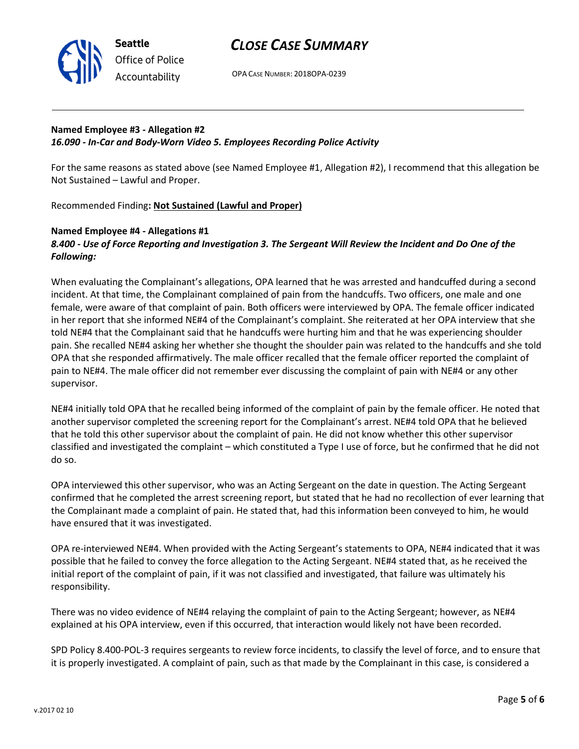

## CLOSE CASE SUMMARY

OPA CASE NUMBER: 2018OPA-0239

### Named Employee #3 - Allegation #2 16.090 - In-Car and Body-Worn Video 5. Employees Recording Police Activity

For the same reasons as stated above (see Named Employee #1, Allegation #2), I recommend that this allegation be Not Sustained – Lawful and Proper.

Recommended Finding: Not Sustained (Lawful and Proper)

### Named Employee #4 - Allegations #1 8.400 - Use of Force Reporting and Investigation 3. The Sergeant Will Review the Incident and Do One of the Following:

When evaluating the Complainant's allegations, OPA learned that he was arrested and handcuffed during a second incident. At that time, the Complainant complained of pain from the handcuffs. Two officers, one male and one female, were aware of that complaint of pain. Both officers were interviewed by OPA. The female officer indicated in her report that she informed NE#4 of the Complainant's complaint. She reiterated at her OPA interview that she told NE#4 that the Complainant said that he handcuffs were hurting him and that he was experiencing shoulder pain. She recalled NE#4 asking her whether she thought the shoulder pain was related to the handcuffs and she told OPA that she responded affirmatively. The male officer recalled that the female officer reported the complaint of pain to NE#4. The male officer did not remember ever discussing the complaint of pain with NE#4 or any other supervisor.

NE#4 initially told OPA that he recalled being informed of the complaint of pain by the female officer. He noted that another supervisor completed the screening report for the Complainant's arrest. NE#4 told OPA that he believed that he told this other supervisor about the complaint of pain. He did not know whether this other supervisor classified and investigated the complaint – which constituted a Type I use of force, but he confirmed that he did not do so.

OPA interviewed this other supervisor, who was an Acting Sergeant on the date in question. The Acting Sergeant confirmed that he completed the arrest screening report, but stated that he had no recollection of ever learning that the Complainant made a complaint of pain. He stated that, had this information been conveyed to him, he would have ensured that it was investigated.

OPA re-interviewed NE#4. When provided with the Acting Sergeant's statements to OPA, NE#4 indicated that it was possible that he failed to convey the force allegation to the Acting Sergeant. NE#4 stated that, as he received the initial report of the complaint of pain, if it was not classified and investigated, that failure was ultimately his responsibility.

There was no video evidence of NE#4 relaying the complaint of pain to the Acting Sergeant; however, as NE#4 explained at his OPA interview, even if this occurred, that interaction would likely not have been recorded.

SPD Policy 8.400-POL-3 requires sergeants to review force incidents, to classify the level of force, and to ensure that it is properly investigated. A complaint of pain, such as that made by the Complainant in this case, is considered a